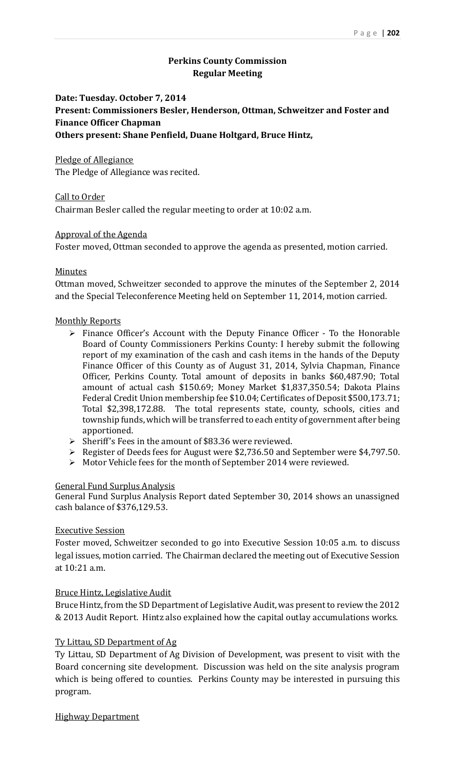# **Perkins County Commission Regular Meeting**

# **Date: Tuesday. October 7, 2014 Present: Commissioners Besler, Henderson, Ottman, Schweitzer and Foster and Finance Officer Chapman Others present: Shane Penfield, Duane Holtgard, Bruce Hintz,**

Pledge of Allegiance The Pledge of Allegiance was recited.

Call to Order Chairman Besler called the regular meeting to order at 10:02 a.m.

## Approval of the Agenda

Foster moved, Ottman seconded to approve the agenda as presented, motion carried.

## Minutes

Ottman moved, Schweitzer seconded to approve the minutes of the September 2, 2014 and the Special Teleconference Meeting held on September 11, 2014, motion carried.

## **Monthly Reports**

- $\triangleright$  Finance Officer's Account with the Deputy Finance Officer To the Honorable Board of County Commissioners Perkins County: I hereby submit the following report of my examination of the cash and cash items in the hands of the Deputy Finance Officer of this County as of August 31, 2014, Sylvia Chapman, Finance Officer, Perkins County. Total amount of deposits in banks \$60,487.90; Total amount of actual cash \$150.69; Money Market \$1,837,350.54; Dakota Plains Federal Credit Union membership fee \$10.04; Certificates of Deposit \$500,173.71; Total \$2,398,172.88. The total represents state, county, schools, cities and township funds, which will be transferred to each entity of government after being apportioned.
- $\triangleright$  Sheriff's Fees in the amount of \$83.36 were reviewed.
- Register of Deeds fees for August were \$2,736.50 and September were \$4,797.50.
- $\triangleright$  Motor Vehicle fees for the month of September 2014 were reviewed.

## General Fund Surplus Analysis

General Fund Surplus Analysis Report dated September 30, 2014 shows an unassigned cash balance of \$376,129.53.

## **Executive Session**

Foster moved, Schweitzer seconded to go into Executive Session 10:05 a.m. to discuss legal issues, motion carried. The Chairman declared the meeting out of Executive Session at 10:21 a.m.

## **Bruce Hintz, Legislative Audit**

Bruce Hintz, from the SD Department of Legislative Audit, was present to review the 2012 & 2013 Audit Report. Hintz also explained how the capital outlay accumulations works.

## Ty Littau, SD Department of Ag

Ty Littau, SD Department of Ag Division of Development, was present to visit with the Board concerning site development. Discussion was held on the site analysis program which is being offered to counties. Perkins County may be interested in pursuing this program. 

**Highway Department**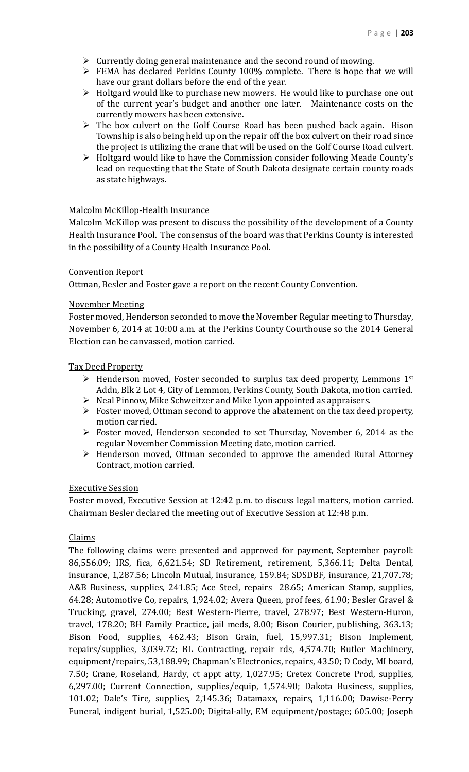- $\triangleright$  Currently doing general maintenance and the second round of mowing.
- $\triangleright$  FEMA has declared Perkins County 100% complete. There is hope that we will have our grant dollars before the end of the year.
- $\triangleright$  Holtgard would like to purchase new mowers. He would like to purchase one out of the current year's budget and another one later. Maintenance costs on the currently mowers has been extensive.
- $\triangleright$  The box culvert on the Golf Course Road has been pushed back again. Bison Township is also being held up on the repair off the box culvert on their road since the project is utilizing the crane that will be used on the Golf Course Road culvert.
- $\triangleright$  Holtgard would like to have the Commission consider following Meade County's lead on requesting that the State of South Dakota designate certain county roads as state highways.

## Malcolm McKillop-Health Insurance

Malcolm McKillop was present to discuss the possibility of the development of a County Health Insurance Pool. The consensus of the board was that Perkins County is interested in the possibility of a County Health Insurance Pool.

#### Convention Report

Ottman, Besler and Foster gave a report on the recent County Convention.

#### November Meeting

Foster moved, Henderson seconded to move the November Regular meeting to Thursday, November 6, 2014 at 10:00 a.m. at the Perkins County Courthouse so the 2014 General Election can be canvassed, motion carried.

#### Tax Deed Property

- $\triangleright$  Henderson moved, Foster seconded to surplus tax deed property, Lemmons 1<sup>st</sup> Addn, Blk 2 Lot 4, City of Lemmon, Perkins County, South Dakota, motion carried.
- $\triangleright$  Neal Pinnow, Mike Schweitzer and Mike Lyon appointed as appraisers.
- $\triangleright$  Foster moved, Ottman second to approve the abatement on the tax deed property, motion carried.
- $\triangleright$  Foster moved, Henderson seconded to set Thursday, November 6, 2014 as the regular November Commission Meeting date, motion carried.
- $\triangleright$  Henderson moved, Ottman seconded to approve the amended Rural Attorney Contract, motion carried.

#### Executive Session

Foster moved, Executive Session at 12:42 p.m. to discuss legal matters, motion carried. Chairman Besler declared the meeting out of Executive Session at 12:48 p.m.

#### Claims

The following claims were presented and approved for payment, September payroll: 86,556.09; IRS, fica, 6,621.54; SD Retirement, retirement, 5,366.11; Delta Dental, insurance, 1,287.56; Lincoln Mutual, insurance, 159.84; SDSDBF, insurance, 21,707.78; A&B Business, supplies, 241.85; Ace Steel, repairs 28.65; American Stamp, supplies, 64.28; Automotive Co, repairs, 1,924.02; Avera Queen, prof fees, 61.90; Besler Gravel & Trucking, gravel, 274.00; Best Western-Pierre, travel, 278.97; Best Western-Huron, travel, 178.20; BH Family Practice, jail meds, 8.00; Bison Courier, publishing, 363.13; Bison Food, supplies, 462.43; Bison Grain, fuel, 15,997.31; Bison Implement, repairs/supplies, 3,039.72; BL Contracting, repair rds, 4,574.70; Butler Machinery, equipment/repairs, 53,188.99; Chapman's Electronics, repairs, 43.50; D Cody, MI board, 7.50; Crane, Roseland, Hardy, ct appt atty, 1,027.95; Cretex Concrete Prod, supplies,  $6,297.00$ ; Current Connection, supplies/equip,  $1,574.90$ ; Dakota Business, supplies, 101.02; Dale's Tire, supplies, 2,145.36; Datamaxx, repairs, 1,116.00; Dawise-Perry Funeral, indigent burial, 1,525.00; Digital-ally, EM equipment/postage; 605.00; Joseph